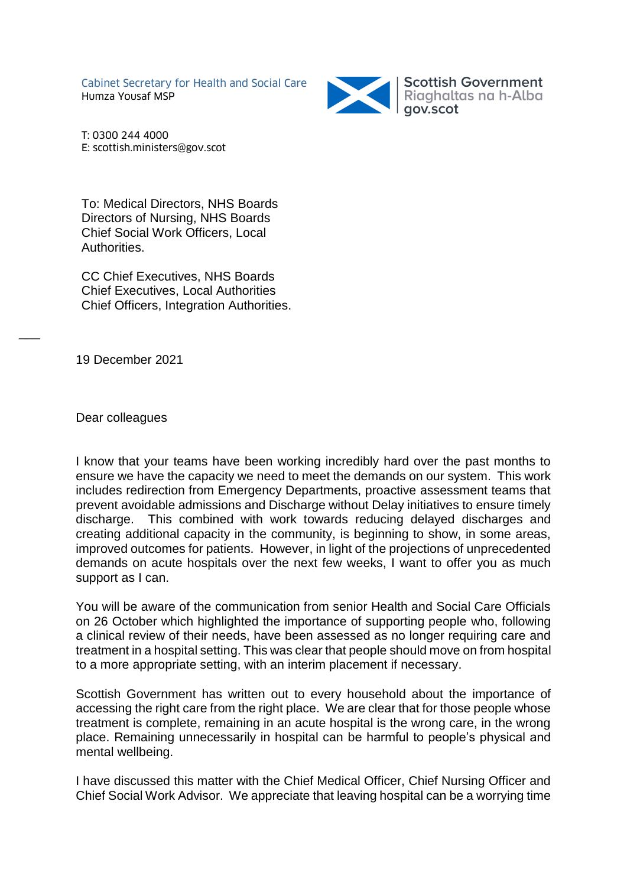Cabinet Secretary for Health and Social Care Humza Yousaf MSP



Scottish Government<br>Riaghaltas na h-Alba<br>gov.scot

T: 0300 244 4000 E: scottish.ministers@gov.scot

To: Medical Directors, NHS Boards Directors of Nursing, NHS Boards Chief Social Work Officers, Local Authorities.

CC Chief Executives, NHS Boards Chief Executives, Local Authorities Chief Officers, Integration Authorities.

19 December 2021

 $\overline{\phantom{a}}$ 

Dear colleagues

I know that your teams have been working incredibly hard over the past months to ensure we have the capacity we need to meet the demands on our system. This work includes redirection from Emergency Departments, proactive assessment teams that prevent avoidable admissions and Discharge without Delay initiatives to ensure timely discharge. This combined with work towards reducing delayed discharges and creating additional capacity in the community, is beginning to show, in some areas, improved outcomes for patients. However, in light of the projections of unprecedented demands on acute hospitals over the next few weeks, I want to offer you as much support as I can.

You will be aware of the communication from senior Health and Social Care Officials on 26 October which highlighted the importance of supporting people who, following a clinical review of their needs, have been assessed as no longer requiring care and treatment in a hospital setting. This was clear that people should move on from hospital to a more appropriate setting, with an interim placement if necessary.

Scottish Government has written out to every household about the importance of accessing the right care from the right place. We are clear that for those people whose treatment is complete, remaining in an acute hospital is the wrong care, in the wrong place. Remaining unnecessarily in hospital can be harmful to people's physical and mental wellbeing.

I have discussed this matter with the Chief Medical Officer, Chief Nursing Officer and Chief Social Work Advisor. We appreciate that leaving hospital can be a worrying time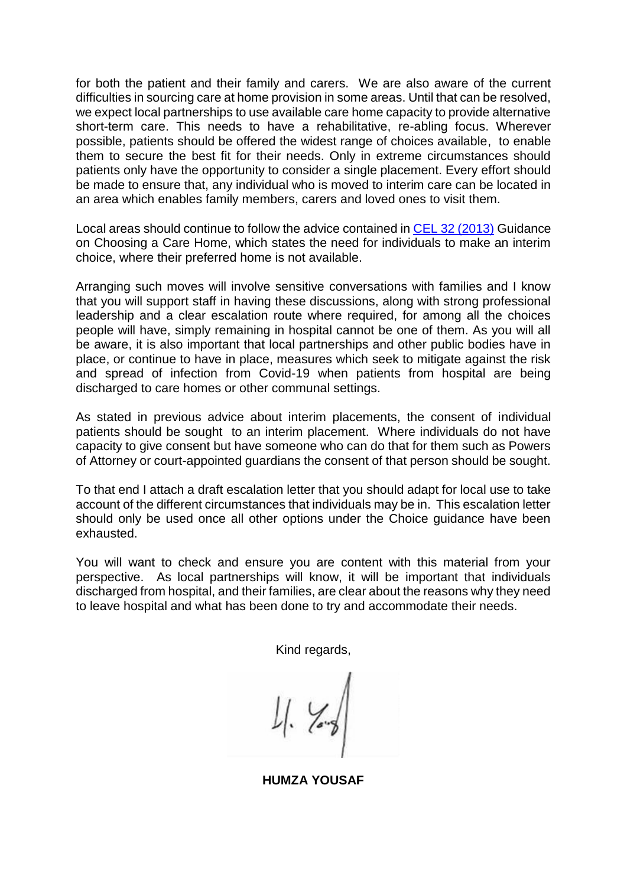for both the patient and their family and carers. We are also aware of the current difficulties in sourcing care at home provision in some areas. Until that can be resolved, we expect local partnerships to use available care home capacity to provide alternative short-term care. This needs to have a rehabilitative, re-abling focus. Wherever possible, patients should be offered the widest range of choices available, to enable them to secure the best fit for their needs. Only in extreme circumstances should patients only have the opportunity to consider a single placement. Every effort should be made to ensure that, any individual who is moved to interim care can be located in an area which enables family members, carers and loved ones to visit them.

Local areas should continue to follow the advice contained in [CEL 32 \(2013\)](https://www.sehd.scot.nhs.uk/mels/cel2013_32.pdf) Guidance on Choosing a Care Home, which states the need for individuals to make an interim choice, where their preferred home is not available.

Arranging such moves will involve sensitive conversations with families and I know that you will support staff in having these discussions, along with strong professional leadership and a clear escalation route where required, for among all the choices people will have, simply remaining in hospital cannot be one of them. As you will all be aware, it is also important that local partnerships and other public bodies have in place, or continue to have in place, measures which seek to mitigate against the risk and spread of infection from Covid-19 when patients from hospital are being discharged to care homes or other communal settings.

As stated in previous advice about interim placements, the consent of individual patients should be sought to an interim placement. Where individuals do not have capacity to give consent but have someone who can do that for them such as Powers of Attorney or court-appointed guardians the consent of that person should be sought.

To that end I attach a draft escalation letter that you should adapt for local use to take account of the different circumstances that individuals may be in. This escalation letter should only be used once all other options under the Choice guidance have been exhausted.

You will want to check and ensure you are content with this material from your perspective. As local partnerships will know, it will be important that individuals discharged from hospital, and their families, are clear about the reasons why they need to leave hospital and what has been done to try and accommodate their needs.

Kind regards,

**HUMZA YOUSAF**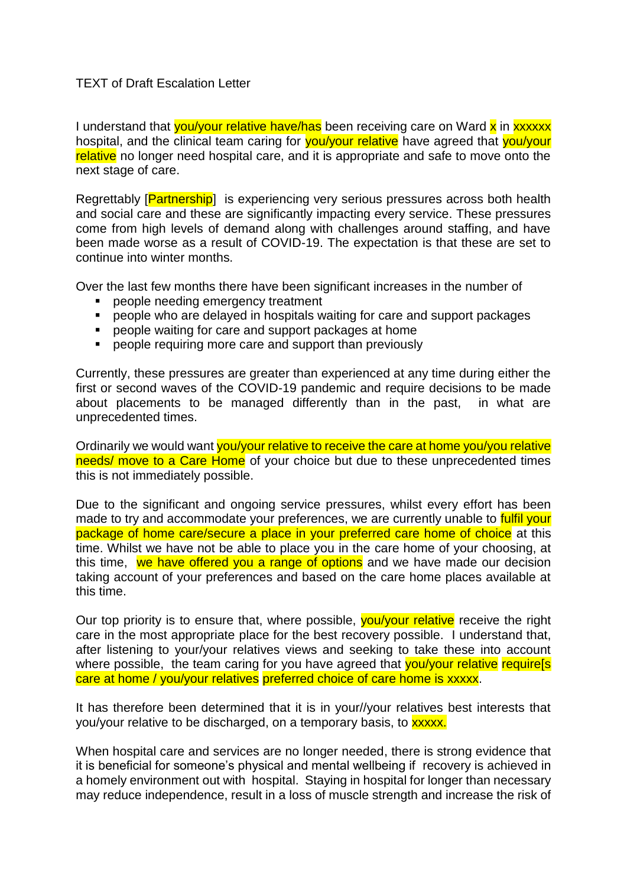## TEXT of Draft Escalation Letter

I understand that you/your relative have/has been receiving care on Ward x in xxxxxx hospital, and the clinical team caring for you/your relative have agreed that you/your relative no longer need hospital care, and it is appropriate and safe to move onto the next stage of care.

Regrettably [**Partnership**] is experiencing very serious pressures across both health and social care and these are significantly impacting every service. These pressures come from high levels of demand along with challenges around staffing, and have been made worse as a result of COVID-19. The expectation is that these are set to continue into winter months.

Over the last few months there have been significant increases in the number of

- **People needing emergency treatment**
- people who are delayed in hospitals waiting for care and support packages
- **people waiting for care and support packages at home**
- **P** people requiring more care and support than previously

Currently, these pressures are greater than experienced at any time during either the first or second waves of the COVID-19 pandemic and require decisions to be made about placements to be managed differently than in the past, in what are unprecedented times.

Ordinarily we would want you/your relative to receive the care at home you/you relative needs/ move to a Care Home of your choice but due to these unprecedented times this is not immediately possible.

Due to the significant and ongoing service pressures, whilst every effort has been made to try and accommodate your preferences, we are currently unable to **fulfil your** package of home care/secure a place in your preferred care home of choice at this time. Whilst we have not be able to place you in the care home of your choosing, at this time, we have offered you a range of options and we have made our decision taking account of your preferences and based on the care home places available at this time.

Our top priority is to ensure that, where possible, you/your relative receive the right care in the most appropriate place for the best recovery possible. I understand that, after listening to your/your relatives views and seeking to take these into account where possible, the team caring for you have agreed that vou/your relative requirels care at home / you/your relatives preferred choice of care home is xxxxx.

It has therefore been determined that it is in your//your relatives best interests that you/your relative to be discharged, on a temporary basis, to **xxxxx**.

When hospital care and services are no longer needed, there is strong evidence that it is beneficial for someone's physical and mental wellbeing if recovery is achieved in a homely environment out with hospital. Staying in hospital for longer than necessary may reduce independence, result in a loss of muscle strength and increase the risk of